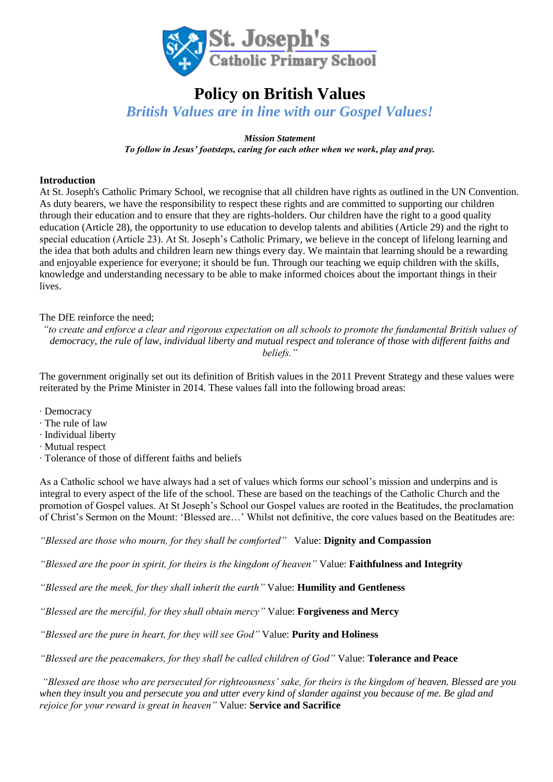

# **Policy on British Values**

*British Values are in line with our Gospel Values!*

*Mission Statement*

*To follow in Jesus' footsteps, caring for each other when we work, play and pray.*

### **Introduction**

At St. Joseph's Catholic Primary School, we recognise that all children have rights as outlined in the UN Convention. As duty bearers, we have the responsibility to respect these rights and are committed to supporting our children through their education and to ensure that they are rights-holders. Our children have the right to a good quality education (Article 28), the opportunity to use education to develop talents and abilities (Article 29) and the right to special education (Article 23). At St. Joseph's Catholic Primary, we believe in the concept of lifelong learning and the idea that both adults and children learn new things every day. We maintain that learning should be a rewarding and enjoyable experience for everyone; it should be fun. Through our teaching we equip children with the skills, knowledge and understanding necessary to be able to make informed choices about the important things in their lives.

The DfE reinforce the need;

*"to create and enforce a clear and rigorous expectation on all schools to promote the fundamental British values of democracy, the rule of law, individual liberty and mutual respect and tolerance of those with different faiths and beliefs."*

The government originally set out its definition of British values in the 2011 Prevent Strategy and these values were reiterated by the Prime Minister in 2014. These values fall into the following broad areas:

- ∙ Democracy
- ∙ The rule of law
- ∙ Individual liberty
- ∙ Mutual respect
- ∙ Tolerance of those of different faiths and beliefs

As a Catholic school we have always had a set of values which forms our school's mission and underpins and is integral to every aspect of the life of the school. These are based on the teachings of the Catholic Church and the promotion of Gospel values. At St Joseph's School our Gospel values are rooted in the Beatitudes, the proclamation of Christ's Sermon on the Mount: 'Blessed are…' Whilst not definitive, the core values based on the Beatitudes are:

*"Blessed are those who mourn, for they shall be comforted"* Value: **Dignity and Compassion** 

*"Blessed are the poor in spirit, for theirs is the kingdom of heaven"* Value: **Faithfulness and Integrity** 

*"Blessed are the meek, for they shall inherit the earth"* Value: **Humility and Gentleness**

*"Blessed are the merciful, for they shall obtain mercy"* Value: **Forgiveness and Mercy**

*"Blessed are the pure in heart, for they will see God"* Value: **Purity and Holiness**

*"Blessed are the peacemakers, for they shall be called children of God"* Value: **Tolerance and Peace**

*"Blessed are those who are persecuted for righteousness' sake, for theirs is the kingdom of heaven. Blessed are you when they insult you and persecute you and utter every kind of slander against you because of me. Be glad and rejoice for your reward is great in heaven"* Value: **Service and Sacrifice**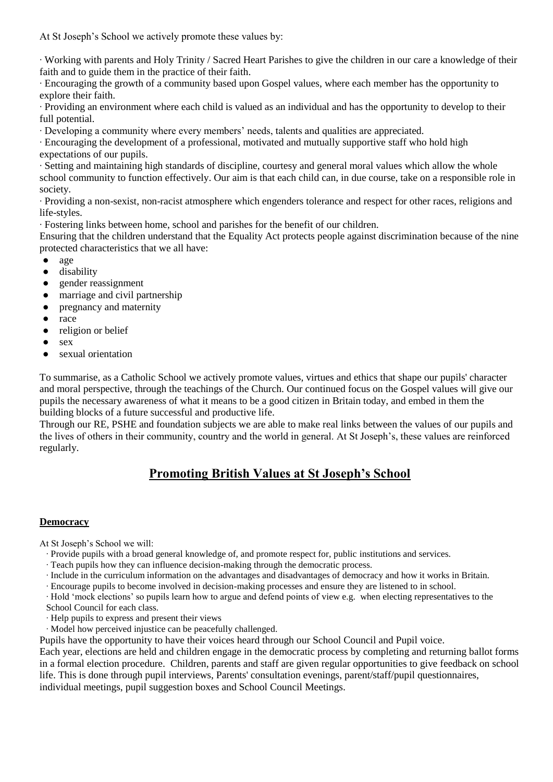At St Joseph's School we actively promote these values by:

∙ Working with parents and Holy Trinity / Sacred Heart Parishes to give the children in our care a knowledge of their faith and to guide them in the practice of their faith.

∙ Encouraging the growth of a community based upon Gospel values, where each member has the opportunity to explore their faith.

∙ Providing an environment where each child is valued as an individual and has the opportunity to develop to their full potential.

∙ Developing a community where every members' needs, talents and qualities are appreciated.

∙ Encouraging the development of a professional, motivated and mutually supportive staff who hold high expectations of our pupils.

∙ Setting and maintaining high standards of discipline, courtesy and general moral values which allow the whole school community to function effectively. Our aim is that each child can, in due course, take on a responsible role in society.

∙ Providing a non-sexist, non-racist atmosphere which engenders tolerance and respect for other races, religions and life-styles.

∙ Fostering links between home, school and parishes for the benefit of our children.

Ensuring that the children understand that the Equality Act protects people against discrimination because of the nine protected characteristics that we all have:

- [age](https://www.equalityhumanrights.com/en/advice-and-guidance/age-discrimination)
- [disability](https://www.equalityhumanrights.com/en/advice-and-guidance/disability-discrimination)
- [gender reassignment](https://www.equalityhumanrights.com/en/advice-and-guidance/gender-reassignment-discrimination)
- [marriage and civil partnership](https://www.equalityhumanrights.com/en/advice-and-guidance/marriage-and-civil-partnership-discrimination)
- [pregnancy and maternity](https://www.equalityhumanrights.com/en/our-work/managing-pregnancy-and-maternity-workplace)
- [race](https://www.equalityhumanrights.com/en/advice-and-guidance/race-discrimination)
- [religion or belief](https://www.equalityhumanrights.com/en/advice-and-guidance/religion-or-belief-discrimination)
- [sex](https://www.equalityhumanrights.com/en/advice-and-guidance/sex-discrimination)
- [sexual orientation](https://www.equalityhumanrights.com/en/advice-and-guidance/sexual-orientation-discrimination)

To summarise, as a Catholic School we actively promote values, virtues and ethics that shape our pupils' character and moral perspective, through the teachings of the Church. Our continued focus on the Gospel values will give our pupils the necessary awareness of what it means to be a good citizen in Britain today, and embed in them the building blocks of a future successful and productive life.

Through our RE, PSHE and foundation subjects we are able to make real links between the values of our pupils and the lives of others in their community, country and the world in general. At St Joseph's, these values are reinforced regularly.

# **Promoting British Values at St Joseph's School**

#### **Democracy**

At St Joseph's School we will:

- ∙ Provide pupils with a broad general knowledge of, and promote respect for, public institutions and services.
- ∙ Teach pupils how they can influence decision-making through the democratic process.
- ∙ Include in the curriculum information on the advantages and disadvantages of democracy and how it works in Britain.
- ∙ Encourage pupils to become involved in decision-making processes and ensure they are listened to in school.
- ∙ Hold 'mock elections' so pupils learn how to argue and defend points of view e.g. when electing representatives to the
- School Council for each class.
- ∙ Help pupils to express and present their views
- ∙ Model how perceived injustice can be peacefully challenged.

Pupils have the opportunity to have their voices heard through our School Council and Pupil voice.

Each year, elections are held and children engage in the democratic process by completing and returning ballot forms in a formal election procedure. Children, parents and staff are given regular opportunities to give feedback on school life. This is done through pupil interviews, Parents' consultation evenings, parent/staff/pupil questionnaires, individual meetings, pupil suggestion boxes and School Council Meetings.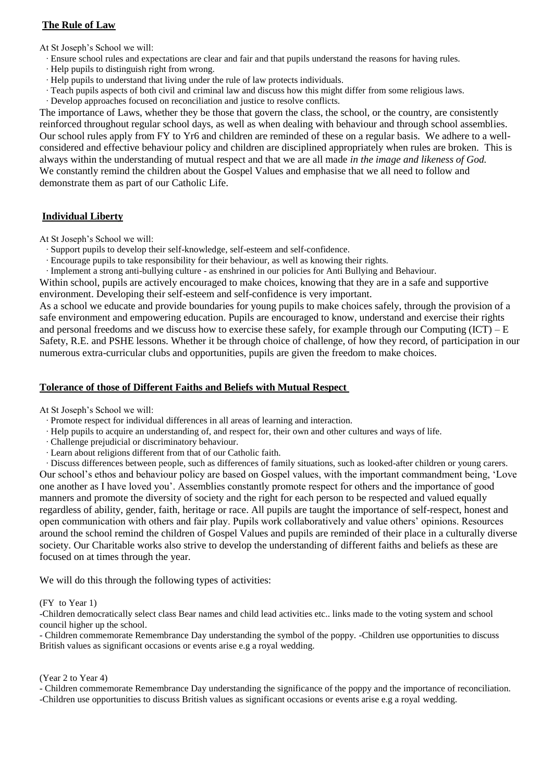# **The Rule of Law**

At St Joseph's School we will:

- ∙ Ensure school rules and expectations are clear and fair and that pupils understand the reasons for having rules.
- ∙ Help pupils to distinguish right from wrong.
- ∙ Help pupils to understand that living under the rule of law protects individuals.
- ∙ Teach pupils aspects of both civil and criminal law and discuss how this might differ from some religious laws.
- ∙ Develop approaches focused on reconciliation and justice to resolve conflicts.

The importance of Laws, whether they be those that govern the class, the school, or the country, are consistently reinforced throughout regular school days, as well as when dealing with behaviour and through school assemblies. Our school rules apply from FY to Yr6 and children are reminded of these on a regular basis. We adhere to a wellconsidered and effective behaviour policy and children are disciplined appropriately when rules are broken. This is always within the understanding of mutual respect and that we are all made *in the image and likeness of God.* We constantly remind the children about the Gospel Values and emphasise that we all need to follow and demonstrate them as part of our Catholic Life.

# **Individual Liberty**

At St Joseph's School we will:

- ∙ Support pupils to develop their self-knowledge, self-esteem and self-confidence.
- ∙ Encourage pupils to take responsibility for their behaviour, as well as knowing their rights.

∙ Implement a strong anti-bullying culture - as enshrined in our policies for Anti Bullying and Behaviour.

Within school, pupils are actively encouraged to make choices, knowing that they are in a safe and supportive environment. Developing their self-esteem and self-confidence is very important.

As a school we educate and provide boundaries for young pupils to make choices safely, through the provision of a safe environment and empowering education. Pupils are encouraged to know, understand and exercise their rights and personal freedoms and we discuss how to exercise these safely, for example through our Computing  $(ICT) - E$ Safety, R.E. and PSHE lessons. Whether it be through choice of challenge, of how they record, of participation in our numerous extra-curricular clubs and opportunities, pupils are given the freedom to make choices.

## **Tolerance of those of Different Faiths and Beliefs with Mutual Respect**

At St Joseph's School we will:

- ∙ Promote respect for individual differences in all areas of learning and interaction.
- ∙ Help pupils to acquire an understanding of, and respect for, their own and other cultures and ways of life.
- ∙ Challenge prejudicial or discriminatory behaviour.
- ∙ Learn about religions different from that of our Catholic faith.

∙ Discuss differences between people, such as differences of family situations, such as looked-after children or young carers. Our school's ethos and behaviour policy are based on Gospel values, with the important commandment being, 'Love one another as I have loved you'. Assemblies constantly promote respect for others and the importance of good manners and promote the diversity of society and the right for each person to be respected and valued equally regardless of ability, gender, faith, heritage or race. All pupils are taught the importance of self-respect, honest and open communication with others and fair play. Pupils work collaboratively and value others' opinions. Resources around the school remind the children of Gospel Values and pupils are reminded of their place in a culturally diverse society. Our Charitable works also strive to develop the understanding of different faiths and beliefs as these are focused on at times through the year.

We will do this through the following types of activities:

#### (FY to Year 1)

-Children democratically select class Bear names and child lead activities etc.. links made to the voting system and school council higher up the school.

- Children commemorate Remembrance Day understanding the symbol of the poppy. -Children use opportunities to discuss British values as significant occasions or events arise e.g a royal wedding.

#### (Year 2 to Year 4)

- Children commemorate Remembrance Day understanding the significance of the poppy and the importance of reconciliation. -Children use opportunities to discuss British values as significant occasions or events arise e.g a royal wedding.